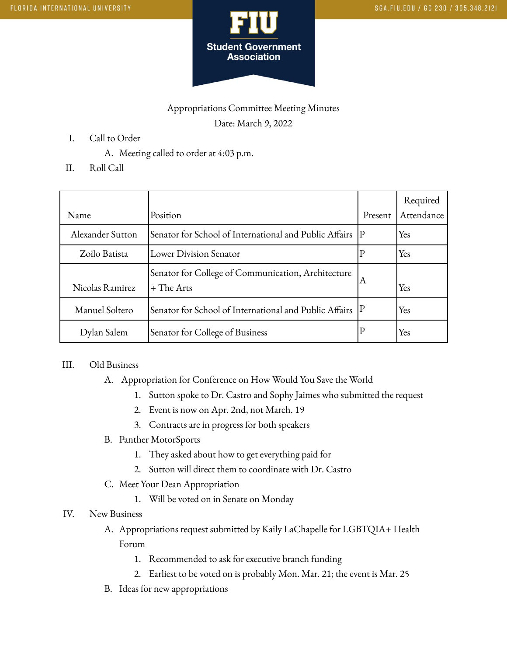

## Appropriations Committee Meeting Minutes Date: March 9, 2022

- I. Call to Order
	- A. Meeting called to order at 4:03 p.m.
- II. Roll Call

| Name             | Position                                                           | Present | Required<br>Attendance |
|------------------|--------------------------------------------------------------------|---------|------------------------|
| Alexander Sutton | Senator for School of International and Public Affairs   P         |         | Yes                    |
| Zoilo Batista    | Lower Division Senator                                             |         | Yes                    |
| Nicolas Ramirez  | Senator for College of Communication, Architecture<br>$+$ The Arts | ΙA      | Yes                    |
| Manuel Soltero   | Senator for School of International and Public Affairs             |         | Yes                    |
| Dylan Salem      | Senator for College of Business                                    |         | Yes                    |

## III. Old Business

- A. Appropriation for Conference on How Would You Save the World
	- 1. Sutton spoke to Dr. Castro and Sophy Jaimes who submitted the request
	- 2. Event is now on Apr. 2nd, not March. 19
	- 3. Contracts are in progress for both speakers
- B. Panther MotorSports
	- 1. They asked about how to get everything paid for
	- 2. Sutton will direct them to coordinate with Dr. Castro
- C. Meet Your Dean Appropriation
	- 1. Will be voted on in Senate on Monday
- IV. New Business
	- A. Appropriations request submitted by Kaily LaChapelle for LGBTQIA+ Health Forum
		- 1. Recommended to ask for executive branch funding
		- 2. Earliest to be voted on is probably Mon. Mar. 21; the event is Mar. 25
	- B. Ideas for new appropriations